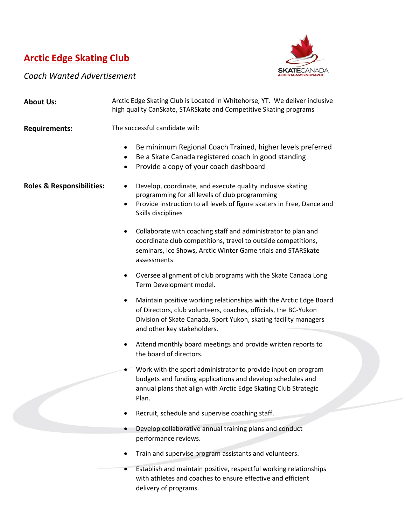## **Arctic Edge Skating Club**



 $\overline{\phantom{a}}$ 

*Coach Wanted Advertisement*

| <b>About Us:</b>                     | Arctic Edge Skating Club is Located in Whitehorse, YT. We deliver inclusive<br>high quality CanSkate, STARSkate and Competitive Skating programs                                                                                              |
|--------------------------------------|-----------------------------------------------------------------------------------------------------------------------------------------------------------------------------------------------------------------------------------------------|
| <b>Requirements:</b>                 | The successful candidate will:                                                                                                                                                                                                                |
|                                      | Be minimum Regional Coach Trained, higher levels preferred<br>٠<br>Be a Skate Canada registered coach in good standing<br>٠<br>Provide a copy of your coach dashboard<br>$\bullet$                                                            |
| <b>Roles &amp; Responsibilities:</b> | Develop, coordinate, and execute quality inclusive skating<br>programming for all levels of club programming<br>Provide instruction to all levels of figure skaters in Free, Dance and<br>٠<br>Skills disciplines                             |
|                                      | Collaborate with coaching staff and administrator to plan and<br>٠<br>coordinate club competitions, travel to outside competitions,<br>seminars, Ice Shows, Arctic Winter Game trials and STARSkate<br>assessments                            |
|                                      | Oversee alignment of club programs with the Skate Canada Long<br>٠<br>Term Development model.                                                                                                                                                 |
|                                      | Maintain positive working relationships with the Arctic Edge Board<br>٠<br>of Directors, club volunteers, coaches, officials, the BC-Yukon<br>Division of Skate Canada, Sport Yukon, skating facility managers<br>and other key stakeholders. |
|                                      | Attend monthly board meetings and provide written reports to<br>the board of directors.                                                                                                                                                       |
|                                      | Work with the sport administrator to provide input on program<br>budgets and funding applications and develop schedules and<br>annual plans that align with Arctic Edge Skating Club Strategic<br>Plan.                                       |
|                                      | Recruit, schedule and supervise coaching staff.                                                                                                                                                                                               |
|                                      | Develop collaborative annual training plans and conduct<br>performance reviews.                                                                                                                                                               |
|                                      | Train and supervise program assistants and volunteers.                                                                                                                                                                                        |
|                                      | Establish and maintain positive, respectful working relationships<br>$\bullet$<br>with athletes and coaches to ensure effective and efficient<br>delivery of programs.                                                                        |